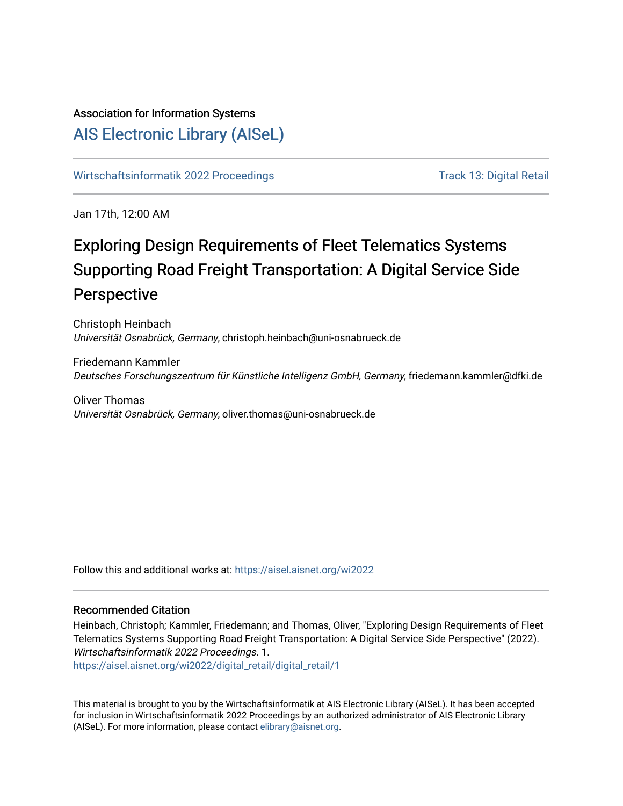# Association for Information Systems

# [AIS Electronic Library \(AISeL\)](https://aisel.aisnet.org/)

[Wirtschaftsinformatik 2022 Proceedings](https://aisel.aisnet.org/wi2022) Track 13: Digital Retail

Jan 17th, 12:00 AM

# Exploring Design Requirements of Fleet Telematics Systems Supporting Road Freight Transportation: A Digital Service Side Perspective

Christoph Heinbach Universität Osnabrück, Germany, christoph.heinbach@uni-osnabrueck.de

Friedemann Kammler Deutsches Forschungszentrum für Künstliche Intelligenz GmbH, Germany, friedemann.kammler@dfki.de

Oliver Thomas Universität Osnabrück, Germany, oliver.thomas@uni-osnabrueck.de

Follow this and additional works at: [https://aisel.aisnet.org/wi2022](https://aisel.aisnet.org/wi2022?utm_source=aisel.aisnet.org%2Fwi2022%2Fdigital_retail%2Fdigital_retail%2F1&utm_medium=PDF&utm_campaign=PDFCoverPages) 

## Recommended Citation

Heinbach, Christoph; Kammler, Friedemann; and Thomas, Oliver, "Exploring Design Requirements of Fleet Telematics Systems Supporting Road Freight Transportation: A Digital Service Side Perspective" (2022). Wirtschaftsinformatik 2022 Proceedings. 1.

[https://aisel.aisnet.org/wi2022/digital\\_retail/digital\\_retail/1](https://aisel.aisnet.org/wi2022/digital_retail/digital_retail/1?utm_source=aisel.aisnet.org%2Fwi2022%2Fdigital_retail%2Fdigital_retail%2F1&utm_medium=PDF&utm_campaign=PDFCoverPages)

This material is brought to you by the Wirtschaftsinformatik at AIS Electronic Library (AISeL). It has been accepted for inclusion in Wirtschaftsinformatik 2022 Proceedings by an authorized administrator of AIS Electronic Library (AISeL). For more information, please contact [elibrary@aisnet.org](mailto:elibrary@aisnet.org%3E).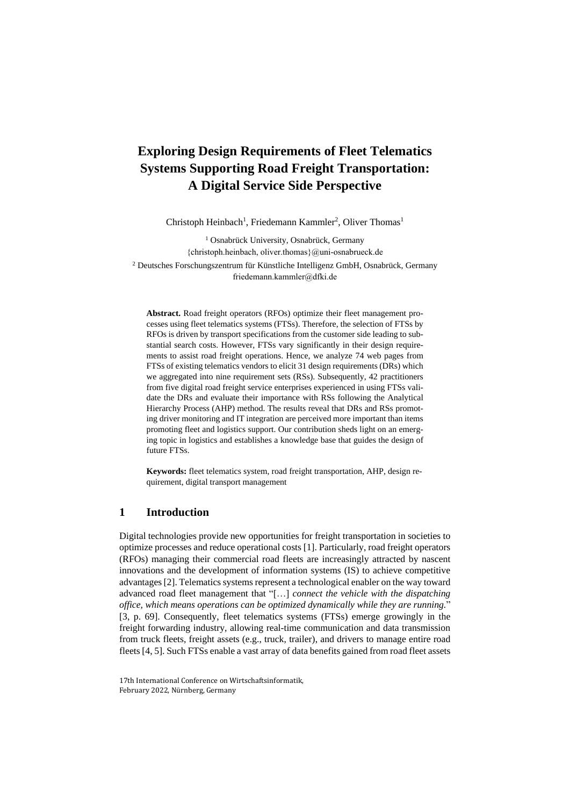## **Exploring Design Requirements of Fleet Telematics Systems Supporting Road Freight Transportation: A Digital Service Side Perspective**

Christoph Heinbach<sup>1</sup>, Friedemann Kammler<sup>2</sup>, Oliver Thomas<sup>1</sup>

<sup>1</sup> Osnabrück University, Osnabrück, Germany {christoph.heinbach, oliver.thomas}@uni-osnabrueck.de <sup>2</sup> Deutsches Forschungszentrum für Künstliche Intelligenz GmbH, Osnabrück, Germany friedemann.kammler@dfki.de

**Abstract.** Road freight operators (RFOs) optimize their fleet management processes using fleet telematics systems (FTSs). Therefore, the selection of FTSs by RFOs is driven by transport specifications from the customer side leading to substantial search costs. However, FTSs vary significantly in their design requirements to assist road freight operations. Hence, we analyze 74 web pages from FTSs of existing telematics vendors to elicit 31 design requirements (DRs) which we aggregated into nine requirement sets (RSs). Subsequently, 42 practitioners from five digital road freight service enterprises experienced in using FTSs validate the DRs and evaluate their importance with RSs following the Analytical Hierarchy Process (AHP) method. The results reveal that DRs and RSs promoting driver monitoring and IT integration are perceived more important than items promoting fleet and logistics support. Our contribution sheds light on an emerging topic in logistics and establishes a knowledge base that guides the design of future FTSs.

**Keywords:** fleet telematics system, road freight transportation, AHP, design requirement, digital transport management

## **1 Introduction**

Digital technologies provide new opportunities for freight transportation in societies to optimize processes and reduce operational costs [1]. Particularly, road freight operators (RFOs) managing their commercial road fleets are increasingly attracted by nascent innovations and the development of information systems (IS) to achieve competitive advantages [2]. Telematics systems represent a technological enabler on the way toward advanced road fleet management that "[…] *connect the vehicle with the dispatching office, which means operations can be optimized dynamically while they are running.*" [3, p. 69]. Consequently, fleet telematics systems (FTSs) emerge growingly in the freight forwarding industry, allowing real-time communication and data transmission from truck fleets, freight assets (e.g., truck, trailer), and drivers to manage entire road fleets [4, 5]. Such FTSs enable a vast array of data benefits gained from road fleet assets

<sup>17</sup>th International Conference on Wirtschaftsinformatik, February 2022, Nürnberg, Germany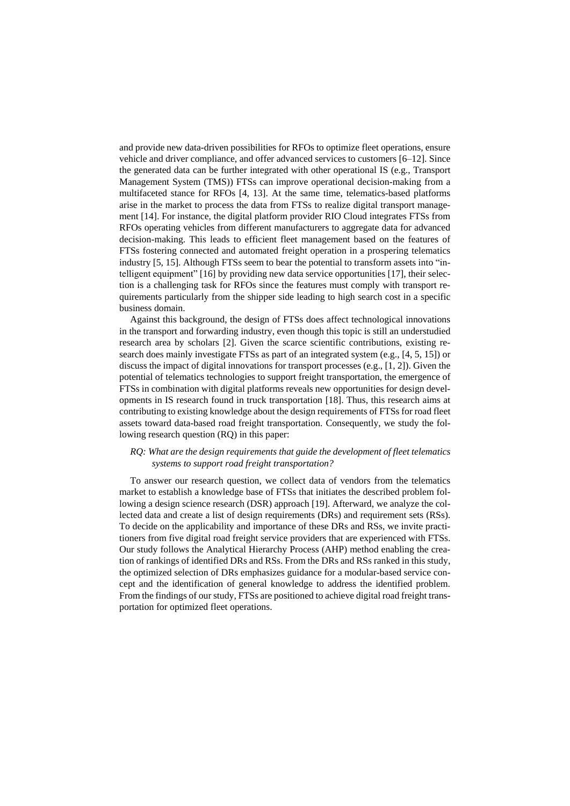and provide new data-driven possibilities for RFOs to optimize fleet operations, ensure vehicle and driver compliance, and offer advanced services to customers [6–12]. Since the generated data can be further integrated with other operational IS (e.g., Transport Management System (TMS)) FTSs can improve operational decision-making from a multifaceted stance for RFOs [4, 13]. At the same time, telematics-based platforms arise in the market to process the data from FTSs to realize digital transport management [14]. For instance, the digital platform provider RIO Cloud integrates FTSs from RFOs operating vehicles from different manufacturers to aggregate data for advanced decision-making. This leads to efficient fleet management based on the features of FTSs fostering connected and automated freight operation in a prospering telematics industry [5, 15]. Although FTSs seem to bear the potential to transform assets into "intelligent equipment" [16] by providing new data service opportunities [17], their selection is a challenging task for RFOs since the features must comply with transport requirements particularly from the shipper side leading to high search cost in a specific business domain.

Against this background, the design of FTSs does affect technological innovations in the transport and forwarding industry, even though this topic is still an understudied research area by scholars [2]. Given the scarce scientific contributions, existing research does mainly investigate FTSs as part of an integrated system (e.g., [4, 5, 15]) or discuss the impact of digital innovations for transport processes (e.g., [1, 2]). Given the potential of telematics technologies to support freight transportation, the emergence of FTSs in combination with digital platforms reveals new opportunities for design developments in IS research found in truck transportation [18]. Thus, this research aims at contributing to existing knowledge about the design requirements of FTSs for road fleet assets toward data-based road freight transportation. Consequently, we study the following research question (RQ) in this paper:

### *RQ: What are the design requirements that guide the development of fleet telematics systems to support road freight transportation?*

To answer our research question, we collect data of vendors from the telematics market to establish a knowledge base of FTSs that initiates the described problem following a design science research (DSR) approach [19]. Afterward, we analyze the collected data and create a list of design requirements (DRs) and requirement sets (RSs). To decide on the applicability and importance of these DRs and RSs, we invite practitioners from five digital road freight service providers that are experienced with FTSs. Our study follows the Analytical Hierarchy Process (AHP) method enabling the creation of rankings of identified DRs and RSs. From the DRs and RSs ranked in this study, the optimized selection of DRs emphasizes guidance for a modular-based service concept and the identification of general knowledge to address the identified problem. From the findings of our study, FTSs are positioned to achieve digital road freight transportation for optimized fleet operations.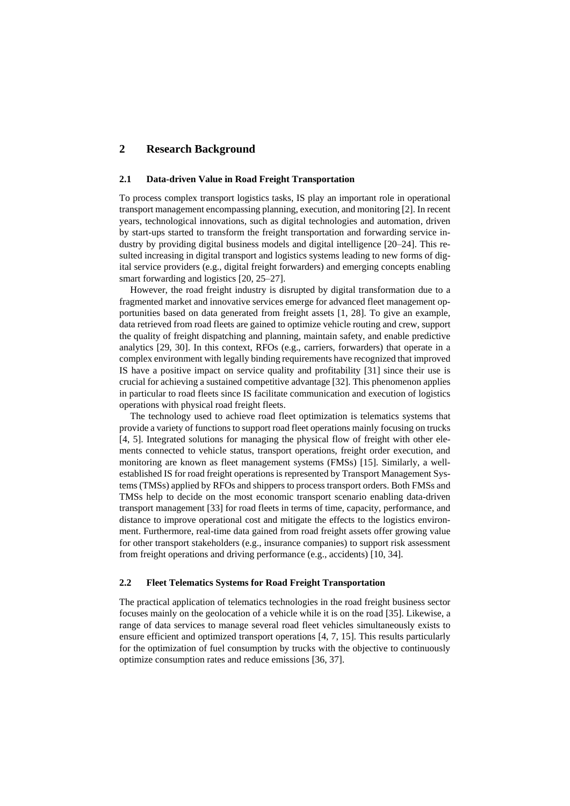## **2 Research Background**

#### **2.1 Data-driven Value in Road Freight Transportation**

To process complex transport logistics tasks, IS play an important role in operational transport management encompassing planning, execution, and monitoring [2]. In recent years, technological innovations, such as digital technologies and automation, driven by start-ups started to transform the freight transportation and forwarding service industry by providing digital business models and digital intelligence [20–24]. This resulted increasing in digital transport and logistics systems leading to new forms of digital service providers (e.g., digital freight forwarders) and emerging concepts enabling smart forwarding and logistics [20, 25–27].

However, the road freight industry is disrupted by digital transformation due to a fragmented market and innovative services emerge for advanced fleet management opportunities based on data generated from freight assets [1, 28]. To give an example, data retrieved from road fleets are gained to optimize vehicle routing and crew, support the quality of freight dispatching and planning, maintain safety, and enable predictive analytics [29, 30]. In this context, RFOs (e.g., carriers, forwarders) that operate in a complex environment with legally binding requirements have recognized that improved IS have a positive impact on service quality and profitability [31] since their use is crucial for achieving a sustained competitive advantage [32]. This phenomenon applies in particular to road fleets since IS facilitate communication and execution of logistics operations with physical road freight fleets.

The technology used to achieve road fleet optimization is telematics systems that provide a variety of functions to support road fleet operations mainly focusing on trucks [4, 5]. Integrated solutions for managing the physical flow of freight with other elements connected to vehicle status, transport operations, freight order execution, and monitoring are known as fleet management systems (FMSs) [15]. Similarly, a wellestablished IS for road freight operations is represented by Transport Management Systems (TMSs) applied by RFOs and shippers to process transport orders. Both FMSs and TMSs help to decide on the most economic transport scenario enabling data-driven transport management [33] for road fleets in terms of time, capacity, performance, and distance to improve operational cost and mitigate the effects to the logistics environment. Furthermore, real-time data gained from road freight assets offer growing value for other transport stakeholders (e.g., insurance companies) to support risk assessment from freight operations and driving performance (e.g., accidents) [10, 34].

#### **2.2 Fleet Telematics Systems for Road Freight Transportation**

The practical application of telematics technologies in the road freight business sector focuses mainly on the geolocation of a vehicle while it is on the road [35]. Likewise, a range of data services to manage several road fleet vehicles simultaneously exists to ensure efficient and optimized transport operations [4, 7, 15]. This results particularly for the optimization of fuel consumption by trucks with the objective to continuously optimize consumption rates and reduce emissions [36, 37].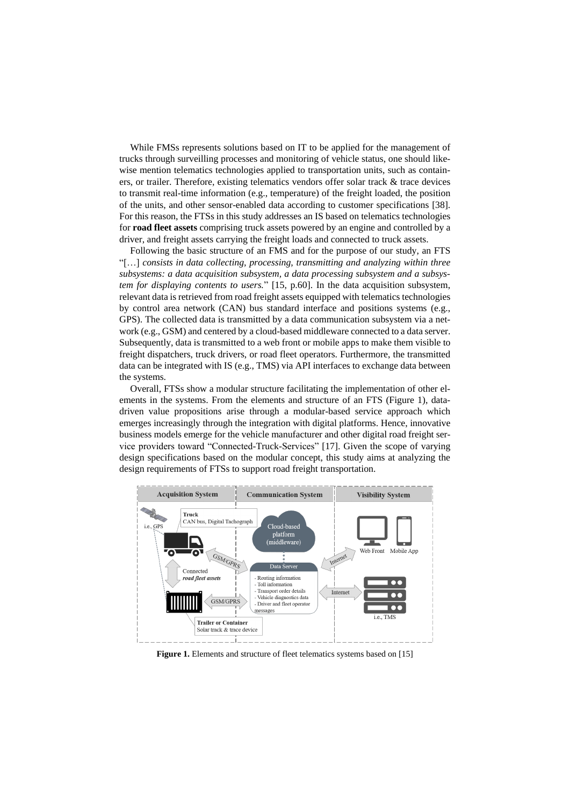While FMSs represents solutions based on IT to be applied for the management of trucks through surveilling processes and monitoring of vehicle status, one should likewise mention telematics technologies applied to transportation units, such as containers, or trailer. Therefore, existing telematics vendors offer solar track & trace devices to transmit real-time information (e.g., temperature) of the freight loaded, the position of the units, and other sensor-enabled data according to customer specifications [38]. For this reason, the FTSs in this study addresses an IS based on telematics technologies for **road fleet assets** comprising truck assets powered by an engine and controlled by a driver, and freight assets carrying the freight loads and connected to truck assets.

Following the basic structure of an FMS and for the purpose of our study, an FTS "[…] *consists in data collecting, processing, transmitting and analyzing within three subsystems: a data acquisition subsystem, a data processing subsystem and a subsystem for displaying contents to users.*" [15, p.60]. In the data acquisition subsystem, relevant data is retrieved from road freight assets equipped with telematics technologies by control area network (CAN) bus standard interface and positions systems (e.g., GPS). The collected data is transmitted by a data communication subsystem via a network (e.g., GSM) and centered by a cloud-based middleware connected to a data server. Subsequently, data is transmitted to a web front or mobile apps to make them visible to freight dispatchers, truck drivers, or road fleet operators. Furthermore, the transmitted data can be integrated with IS (e.g., TMS) via API interfaces to exchange data between the systems.

Overall, FTSs show a modular structure facilitating the implementation of other elements in the systems. From the elements and structure of an FTS (Figure 1), datadriven value propositions arise through a modular-based service approach which emerges increasingly through the integration with digital platforms. Hence, innovative business models emerge for the vehicle manufacturer and other digital road freight service providers toward "Connected-Truck-Services" [17]. Given the scope of varying design specifications based on the modular concept, this study aims at analyzing the design requirements of FTSs to support road freight transportation.



**Figure 1.** Elements and structure of fleet telematics systems based on [15]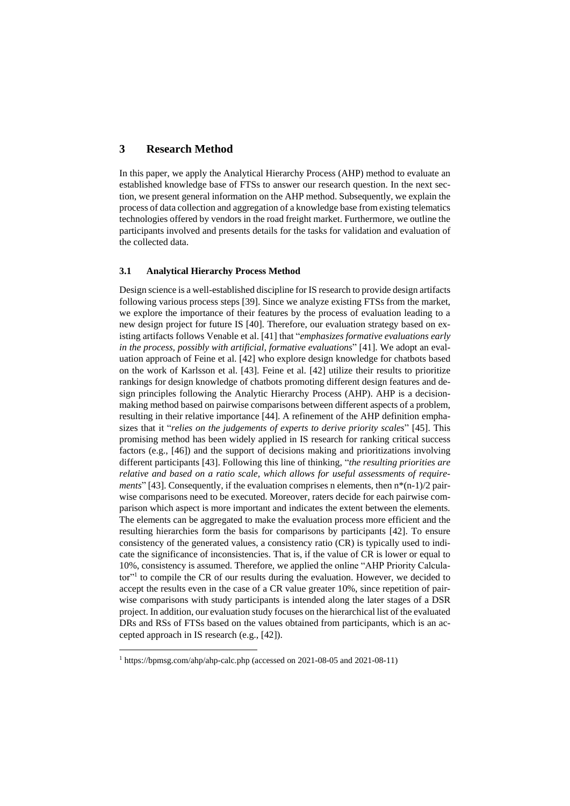## **3 Research Method**

In this paper, we apply the Analytical Hierarchy Process (AHP) method to evaluate an established knowledge base of FTSs to answer our research question. In the next section, we present general information on the AHP method. Subsequently, we explain the process of data collection and aggregation of a knowledge base from existing telematics technologies offered by vendors in the road freight market. Furthermore, we outline the participants involved and presents details for the tasks for validation and evaluation of the collected data.

#### **3.1 Analytical Hierarchy Process Method**

Design science is a well-established discipline for IS research to provide design artifacts following various process steps [39]. Since we analyze existing FTSs from the market, we explore the importance of their features by the process of evaluation leading to a new design project for future IS [40]. Therefore, our evaluation strategy based on existing artifacts follows Venable et al. [41] that "*emphasizes formative evaluations early in the process, possibly with artificial, formative evaluations*" [41]. We adopt an evaluation approach of Feine et al. [42] who explore design knowledge for chatbots based on the work of Karlsson et al. [43]. Feine et al. [42] utilize their results to prioritize rankings for design knowledge of chatbots promoting different design features and design principles following the Analytic Hierarchy Process (AHP). AHP is a decisionmaking method based on pairwise comparisons between different aspects of a problem, resulting in their relative importance [44]. A refinement of the AHP definition emphasizes that it "*relies on the judgements of experts to derive priority scales*" [45]. This promising method has been widely applied in IS research for ranking critical success factors (e.g., [46]) and the support of decisions making and prioritizations involving different participants [43]. Following this line of thinking, "*the resulting priorities are relative and based on a ratio scale, which allows for useful assessments of requirements*" [43]. Consequently, if the evaluation comprises n elements, then  $n*(n-1)/2$  pairwise comparisons need to be executed. Moreover, raters decide for each pairwise comparison which aspect is more important and indicates the extent between the elements. The elements can be aggregated to make the evaluation process more efficient and the resulting hierarchies form the basis for comparisons by participants [42]. To ensure consistency of the generated values, a consistency ratio (CR) is typically used to indicate the significance of inconsistencies. That is, if the value of CR is lower or equal to 10%, consistency is assumed. Therefore, we applied the online "AHP Priority Calculator"<sup>1</sup> to compile the CR of our results during the evaluation. However, we decided to accept the results even in the case of a CR value greater 10%, since repetition of pairwise comparisons with study participants is intended along the later stages of a DSR project. In addition, our evaluation study focuses on the hierarchical list of the evaluated DRs and RSs of FTSs based on the values obtained from participants, which is an accepted approach in IS research (e.g., [42]).

 $\overline{\phantom{a}}$ 

<sup>1</sup> <https://bpmsg.com/ahp/ahp-calc.php> (accessed on 2021-08-05 and 2021-08-11)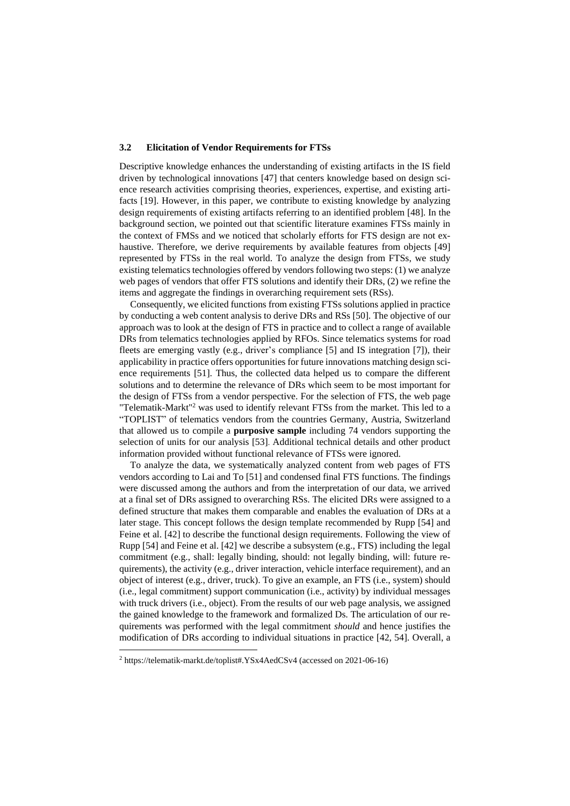#### **3.2 Elicitation of Vendor Requirements for FTSs**

Descriptive knowledge enhances the understanding of existing artifacts in the IS field driven by technological innovations [47] that centers knowledge based on design science research activities comprising theories, experiences, expertise, and existing artifacts [19]. However, in this paper, we contribute to existing knowledge by analyzing design requirements of existing artifacts referring to an identified problem [48]. In the background section, we pointed out that scientific literature examines FTSs mainly in the context of FMSs and we noticed that scholarly efforts for FTS design are not exhaustive. Therefore, we derive requirements by available features from objects [49] represented by FTSs in the real world. To analyze the design from FTSs, we study existing telematics technologies offered by vendors following two steps: (1) we analyze web pages of vendors that offer FTS solutions and identify their DRs, (2) we refine the items and aggregate the findings in overarching requirement sets (RSs).

Consequently, we elicited functions from existing FTSs solutions applied in practice by conducting a web content analysis to derive DRs and RSs [50]. The objective of our approach was to look at the design of FTS in practice and to collect a range of available DRs from telematics technologies applied by RFOs. Since telematics systems for road fleets are emerging vastly (e.g., driver's compliance [5] and IS integration [7]), their applicability in practice offers opportunities for future innovations matching design science requirements [51]. Thus, the collected data helped us to compare the different solutions and to determine the relevance of DRs which seem to be most important for the design of FTSs from a vendor perspective. For the selection of FTS, the web page "Telematik-Markt"<sup>2</sup> was used to identify relevant FTSs from the market. This led to a "TOPLIST" of telematics vendors from the countries Germany, Austria, Switzerland that allowed us to compile a **purposive sample** including 74 vendors supporting the selection of units for our analysis [53]. Additional technical details and other product information provided without functional relevance of FTSs were ignored.

To analyze the data, we systematically analyzed content from web pages of FTS vendors according to Lai and To [51] and condensed final FTS functions. The findings were discussed among the authors and from the interpretation of our data, we arrived at a final set of DRs assigned to overarching RSs. The elicited DRs were assigned to a defined structure that makes them comparable and enables the evaluation of DRs at a later stage. This concept follows the design template recommended by Rupp [54] and Feine et al. [42] to describe the functional design requirements. Following the view of Rupp [54] and Feine et al. [42] we describe a subsystem (e.g., FTS) including the legal commitment (e.g., shall: legally binding, should: not legally binding, will: future requirements), the activity (e.g., driver interaction, vehicle interface requirement), and an object of interest (e.g., driver, truck). To give an example, an FTS (i.e., system) should (i.e., legal commitment) support communication (i.e., activity) by individual messages with truck drivers (i.e., object). From the results of our web page analysis, we assigned the gained knowledge to the framework and formalized Ds. The articulation of our requirements was performed with the legal commitment *should* and hence justifies the modification of DRs according to individual situations in practice [42, 54]. Overall, a

 $\overline{\phantom{a}}$ 

<sup>2</sup> https://telematik-markt.de/toplist#.YSx4AedCSv4 (accessed on 2021-06-16)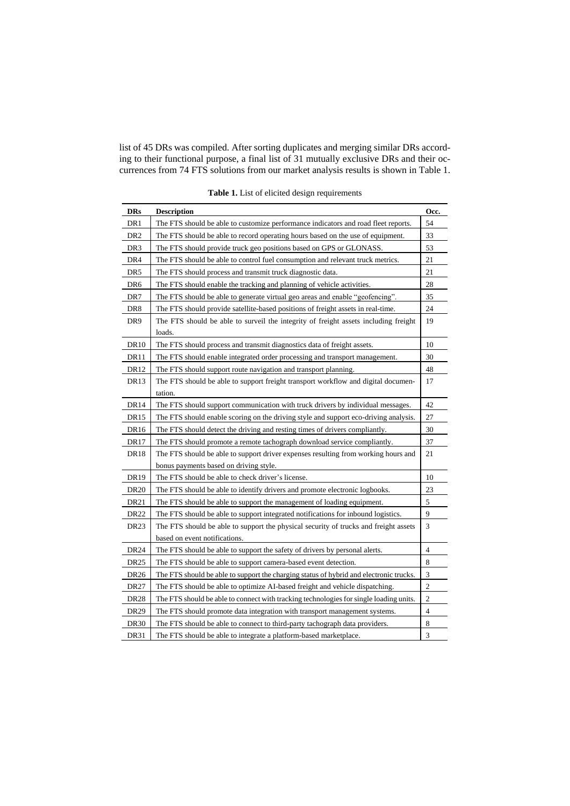list of 45 DRs was compiled. After sorting duplicates and merging similar DRs according to their functional purpose, a final list of 31 mutually exclusive DRs and their occurrences from 74 FTS solutions from our market analysis results is shown in Table 1.

| <b>DRs</b>       | <b>Description</b>                                                                       | Occ.                        |
|------------------|------------------------------------------------------------------------------------------|-----------------------------|
| DR1              | The FTS should be able to customize performance indicators and road fleet reports.       | 54                          |
| DR <sub>2</sub>  | The FTS should be able to record operating hours based on the use of equipment.          | 33                          |
| DR <sub>3</sub>  | The FTS should provide truck geo positions based on GPS or GLONASS.                      | 53                          |
| DR <sub>4</sub>  | The FTS should be able to control fuel consumption and relevant truck metrics.           | 21                          |
| DR5              | The FTS should process and transmit truck diagnostic data.                               | 21                          |
| DR6              | The FTS should enable the tracking and planning of vehicle activities.                   | 28                          |
| DR7              | The FTS should be able to generate virtual geo areas and enable "geofencing".            | 35                          |
| DR8              | The FTS should provide satellite-based positions of freight assets in real-time.         | 24                          |
| DR9              | The FTS should be able to surveil the integrity of freight assets including freight      | 19                          |
|                  | loads.                                                                                   |                             |
| <b>DR10</b>      | The FTS should process and transmit diagnostics data of freight assets.                  | 10                          |
| DR11             | The FTS should enable integrated order processing and transport management.              | 30                          |
| DR12             | The FTS should support route navigation and transport planning.                          | 48                          |
| DR <sub>13</sub> | The FTS should be able to support freight transport workflow and digital documen-        | 17                          |
|                  | tation.                                                                                  |                             |
| DR <sub>14</sub> | The FTS should support communication with truck drivers by individual messages.          | 42                          |
| DR <sub>15</sub> | The FTS should enable scoring on the driving style and support eco-driving analysis.     | 27                          |
| DR <sub>16</sub> | The FTS should detect the driving and resting times of drivers compliantly.              | 30                          |
| DR <sub>17</sub> | The FTS should promote a remote tachograph download service compliantly.                 | 37                          |
| DR <sub>18</sub> | The FTS should be able to support driver expenses resulting from working hours and<br>21 |                             |
|                  | bonus payments based on driving style.                                                   |                             |
| DR19             | The FTS should be able to check driver's license.                                        | 10                          |
| <b>DR20</b>      | The FTS should be able to identify drivers and promote electronic logbooks.              | 23                          |
| DR <sub>21</sub> | The FTS should be able to support the management of loading equipment.                   | 5                           |
| DR22             | The FTS should be able to support integrated notifications for inbound logistics.        | 9                           |
| DR <sub>23</sub> | The FTS should be able to support the physical security of trucks and freight assets     | $\ensuremath{\mathfrak{Z}}$ |
|                  | based on event notifications.                                                            |                             |
| DR <sub>24</sub> | The FTS should be able to support the safety of drivers by personal alerts.              | 4                           |
| <b>DR25</b>      | The FTS should be able to support camera-based event detection.                          | 8                           |
| DR <sub>26</sub> | The FTS should be able to support the charging status of hybrid and electronic trucks.   | $\ensuremath{\mathfrak{Z}}$ |
| DR <sub>27</sub> | The FTS should be able to optimize AI-based freight and vehicle dispatching.             | $\sqrt{2}$                  |
| DR <sub>28</sub> | The FTS should be able to connect with tracking technologies for single loading units.   | $\overline{c}$              |
| DR29             | The FTS should promote data integration with transport management systems.               | 4                           |
| <b>DR30</b>      | The FTS should be able to connect to third-party tachograph data providers.              | $\,$ 8 $\,$                 |
| DR31             | The FTS should be able to integrate a platform-based marketplace.                        | 3                           |

**Table 1.** List of elicited design requirements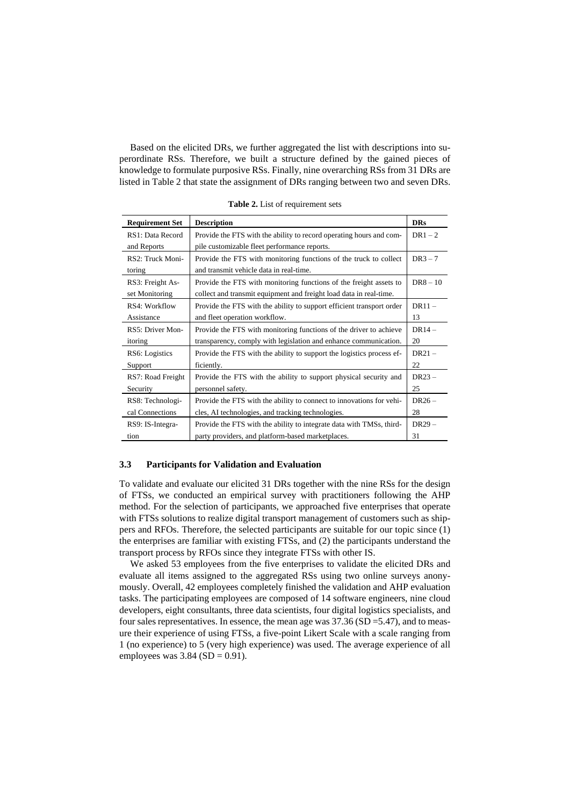Based on the elicited DRs, we further aggregated the list with descriptions into superordinate RSs. Therefore, we built a structure defined by the gained pieces of knowledge to formulate purposive RSs. Finally, nine overarching RSs from 31 DRs are listed in Table 2 that state the assignment of DRs ranging between two and seven DRs.

| <b>Requirement Set</b> | <b>Description</b>                                                    | <b>DRs</b> |
|------------------------|-----------------------------------------------------------------------|------------|
| RS1: Data Record       | Provide the FTS with the ability to record operating hours and com-   | $DR1-2$    |
| and Reports            | pile customizable fleet performance reports.                          |            |
| RS2: Truck Moni-       | Provide the FTS with monitoring functions of the truck to collect     | $DR3-7$    |
| toring                 | and transmit vehicle data in real-time.                               |            |
| RS3: Freight As-       | Provide the FTS with monitoring functions of the freight assets to    | $DR8 - 10$ |
| set Monitoring         | collect and transmit equipment and freight load data in real-time.    |            |
| RS4: Workflow          | Provide the FTS with the ability to support efficient transport order | $DR11 -$   |
| Assistance             | and fleet operation workflow.                                         | 13         |
| RS5: Driver Mon-       | Provide the FTS with monitoring functions of the driver to achieve    | $DR14-$    |
| itoring                | transparency, comply with legislation and enhance communication.      | 20         |
| RS6: Logistics         | Provide the FTS with the ability to support the logistics process ef- | $DR21 -$   |
| Support                | ficiently.                                                            | 22         |
| RS7: Road Freight      | Provide the FTS with the ability to support physical security and     | $DR23 -$   |
| Security               | personnel safety.                                                     | 25         |
| RS8: Technologi-       | Provide the FTS with the ability to connect to innovations for vehi-  | $DR26 -$   |
| cal Connections        | cles, AI technologies, and tracking technologies.                     | 28         |
| RS9: IS-Integra-       | Provide the FTS with the ability to integrate data with TMSs, third-  | $DR29-$    |
| tion                   | party providers, and platform-based marketplaces.                     | 31         |

**Table 2.** List of requirement sets

#### **3.3 Participants for Validation and Evaluation**

To validate and evaluate our elicited 31 DRs together with the nine RSs for the design of FTSs, we conducted an empirical survey with practitioners following the AHP method. For the selection of participants, we approached five enterprises that operate with FTSs solutions to realize digital transport management of customers such as shippers and RFOs. Therefore, the selected participants are suitable for our topic since (1) the enterprises are familiar with existing FTSs, and (2) the participants understand the transport process by RFOs since they integrate FTSs with other IS.

We asked 53 employees from the five enterprises to validate the elicited DRs and evaluate all items assigned to the aggregated RSs using two online surveys anonymously. Overall, 42 employees completely finished the validation and AHP evaluation tasks. The participating employees are composed of 14 software engineers, nine cloud developers, eight consultants, three data scientists, four digital logistics specialists, and four sales representatives. In essence, the mean age was  $37.36$  (SD = 5.47), and to measure their experience of using FTSs, a five-point Likert Scale with a scale ranging from 1 (no experience) to 5 (very high experience) was used. The average experience of all employees was  $3.84$  (SD = 0.91).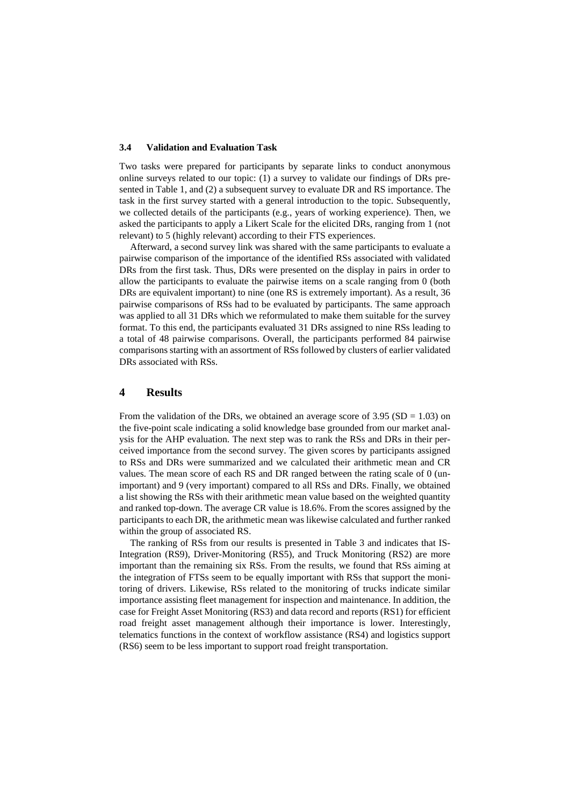#### **3.4 Validation and Evaluation Task**

Two tasks were prepared for participants by separate links to conduct anonymous online surveys related to our topic: (1) a survey to validate our findings of DRs presented in Table 1, and (2) a subsequent survey to evaluate DR and RS importance. The task in the first survey started with a general introduction to the topic. Subsequently, we collected details of the participants (e.g., years of working experience). Then, we asked the participants to apply a Likert Scale for the elicited DRs, ranging from 1 (not relevant) to 5 (highly relevant) according to their FTS experiences.

Afterward, a second survey link was shared with the same participants to evaluate a pairwise comparison of the importance of the identified RSs associated with validated DRs from the first task. Thus, DRs were presented on the display in pairs in order to allow the participants to evaluate the pairwise items on a scale ranging from 0 (both DRs are equivalent important) to nine (one RS is extremely important). As a result, 36 pairwise comparisons of RSs had to be evaluated by participants. The same approach was applied to all 31 DRs which we reformulated to make them suitable for the survey format. To this end, the participants evaluated 31 DRs assigned to nine RSs leading to a total of 48 pairwise comparisons. Overall, the participants performed 84 pairwise comparisons starting with an assortment of RSs followed by clusters of earlier validated DRs associated with RSs.

## **4 Results**

From the validation of the DRs, we obtained an average score of  $3.95$  (SD = 1.03) on the five-point scale indicating a solid knowledge base grounded from our market analysis for the AHP evaluation. The next step was to rank the RSs and DRs in their perceived importance from the second survey. The given scores by participants assigned to RSs and DRs were summarized and we calculated their arithmetic mean and CR values. The mean score of each RS and DR ranged between the rating scale of 0 (unimportant) and 9 (very important) compared to all RSs and DRs. Finally, we obtained a list showing the RSs with their arithmetic mean value based on the weighted quantity and ranked top-down. The average CR value is 18.6%. From the scores assigned by the participants to each DR, the arithmetic mean was likewise calculated and further ranked within the group of associated RS.

The ranking of RSs from our results is presented in Table 3 and indicates that IS-Integration (RS9), Driver-Monitoring (RS5), and Truck Monitoring (RS2) are more important than the remaining six RSs. From the results, we found that RSs aiming at the integration of FTSs seem to be equally important with RSs that support the monitoring of drivers. Likewise, RSs related to the monitoring of trucks indicate similar importance assisting fleet management for inspection and maintenance. In addition, the case for Freight Asset Monitoring (RS3) and data record and reports (RS1) for efficient road freight asset management although their importance is lower. Interestingly, telematics functions in the context of workflow assistance (RS4) and logistics support (RS6) seem to be less important to support road freight transportation.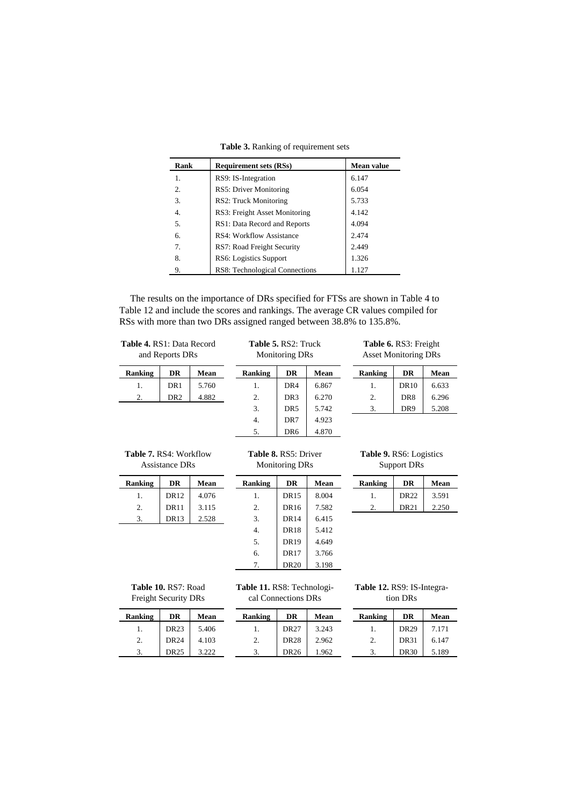| <b>Rank</b> | <b>Requirement sets (RSs)</b>   | Mean value |
|-------------|---------------------------------|------------|
| 1.          | RS9: IS-Integration             | 6.147      |
| 2.          | RS5: Driver Monitoring          | 6.054      |
| 3.          | RS2: Truck Monitoring           | 5.733      |
| 4.          | RS3: Freight Asset Monitoring   | 4.142      |
| 5.          | RS1: Data Record and Reports    | 4.094      |
| 6.          | <b>RS4: Workflow Assistance</b> | 2.474      |
| 7.          | RS7: Road Freight Security      | 2.449      |
| 8.          | RS6: Logistics Support          | 1.326      |
| 9.          | RS8: Technological Connections  | 1.127      |

**Table 3.** Ranking of requirement sets

The results on the importance of DRs specified for FTSs are shown in Table 4 to Table 12 and include the scores and rankings. The average CR values compiled for RSs with more than two DRs assigned ranged between 38.8% to 135.8%.

| <b>Table 4. RS1: Data Record</b><br>and Reports DRs |                  |       | <b>Table 5. RS2: Truck</b><br><b>Monitoring DRs</b>  |                  |                                                      | <b>Table 6. RS3: Freight</b><br><b>Asset Monitoring DRs</b> |             |       |
|-----------------------------------------------------|------------------|-------|------------------------------------------------------|------------------|------------------------------------------------------|-------------------------------------------------------------|-------------|-------|
| <b>Ranking</b>                                      | <b>DR</b>        | Mean  | Ranking                                              | <b>DR</b>        | Mean                                                 | Ranking                                                     | <b>DR</b>   | Mean  |
| 1.                                                  | DR <sub>1</sub>  | 5.760 | $\mathbf{1}$ .                                       | DR4              | 6.867                                                | 1.                                                          | <b>DR10</b> | 6.633 |
| 2.                                                  | DR <sub>2</sub>  | 4.882 | $\overline{2}$ .                                     | DR <sub>3</sub>  | 6.270                                                | 2.                                                          | DR8         | 6.296 |
|                                                     |                  |       | 3.                                                   | DR <sub>5</sub>  | 5.742                                                | 3.                                                          | DR9         | 5.208 |
|                                                     |                  |       | 4.                                                   | DR7              | 4.923                                                |                                                             |             |       |
|                                                     |                  |       | 5.                                                   | DR <sub>6</sub>  | 4.870                                                |                                                             |             |       |
| <b>Table 7. RS4: Workflow</b><br>Assistance DRs     |                  |       | <b>Table 8. RS5: Driver</b><br><b>Monitoring DRs</b> |                  | <b>Table 9. RS6: Logistics</b><br><b>Support DRs</b> |                                                             |             |       |
| <b>Ranking</b>                                      | <b>DR</b>        | Mean  | Ranking                                              | <b>DR</b>        | Mean                                                 | Ranking                                                     | <b>DR</b>   | Mean  |
| 1.                                                  | DR12             | 4.076 | 1.                                                   | <b>DR15</b>      | 8.004                                                | 1.                                                          | DR22        | 3.591 |
| 2.                                                  | <b>DR11</b>      | 3.115 | 2.                                                   | DR16             | 7.582                                                | 2.                                                          | <b>DR21</b> | 2.250 |
| 3.                                                  | DR <sub>13</sub> | 2.528 | 3.                                                   | DR <sub>14</sub> | 6.415                                                |                                                             |             |       |
|                                                     |                  |       | 4.                                                   | DR <sub>18</sub> | 5.412                                                |                                                             |             |       |

| <b>Table 7.</b> RS4: Workflow |  |
|-------------------------------|--|
| Assistance DRs                |  |

| <b>Ranking</b> | DR          | Mean  |
|----------------|-------------|-------|
|                | DR12        | 4.076 |
| 2.             | <b>DR11</b> | 3.115 |
|                | DR13        | 2.528 |
|                |             |       |

| <b>Ranking</b> | DR               | Mean  |
|----------------|------------------|-------|
| 1.             | <b>DR15</b>      | 8.004 |
| 2.             | DR16             | 7.582 |
| 3.             | <b>DR14</b>      | 6.415 |
| 4.             | <b>DR18</b>      | 5.412 |
| 5.             | <b>DR19</b>      | 4.649 |
| б.             | <b>DR17</b>      | 3.766 |
| 7.             | DR <sub>20</sub> | 3.198 |

| <b>Ranking</b> |             | Mean  |
|----------------|-------------|-------|
|                | DR22        | 3.591 |
|                | <b>DR21</b> | 2.250 |
|                |             |       |

| Table 10. RS7: Road  |
|----------------------|
| Freight Security DRs |

**Ranking** DR 1. DR23 2. DR24 3. DR25

**Table 11.** RS8: Technological Connections DRs

| Table 12. RS9: IS-Integra- |
|----------------------------|
| tion DRs                   |

| Mean  | <b>Ranking</b> | DR          | Mean  |
|-------|----------------|-------------|-------|
| 5.406 |                | <b>DR27</b> | 3.243 |
| 4.103 | 2.             | <b>DR28</b> | 2.962 |
| 3.222 | 3.             | DR26        | 1.962 |

| <b>Ranking</b> | DR          | Mean  |
|----------------|-------------|-------|
|                | <b>DR29</b> | 7.171 |
| 2.             | <b>DR31</b> | 6.147 |
|                | <b>DR30</b> | 5.189 |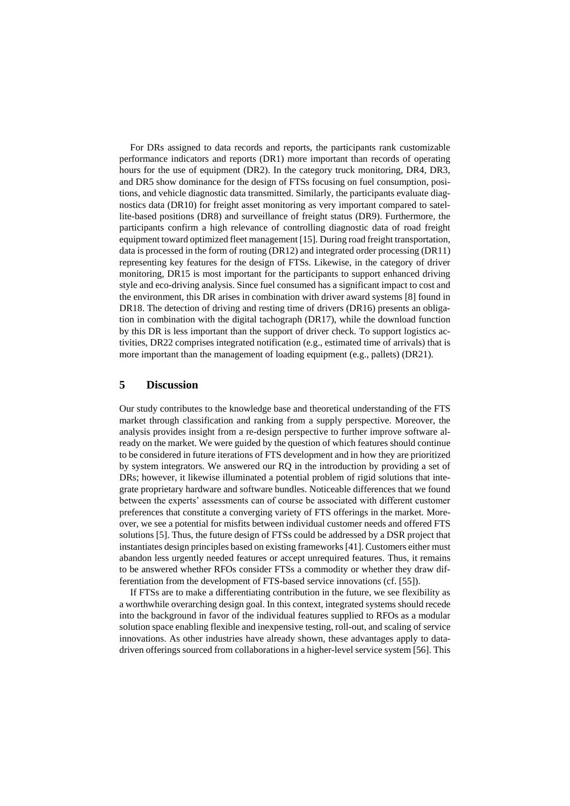For DRs assigned to data records and reports, the participants rank customizable performance indicators and reports (DR1) more important than records of operating hours for the use of equipment (DR2). In the category truck monitoring, DR4, DR3, and DR5 show dominance for the design of FTSs focusing on fuel consumption, positions, and vehicle diagnostic data transmitted. Similarly, the participants evaluate diagnostics data (DR10) for freight asset monitoring as very important compared to satellite-based positions (DR8) and surveillance of freight status (DR9). Furthermore, the participants confirm a high relevance of controlling diagnostic data of road freight equipment toward optimized fleet management [15]. During road freight transportation, data is processed in the form of routing (DR12) and integrated order processing (DR11) representing key features for the design of FTSs. Likewise, in the category of driver monitoring, DR15 is most important for the participants to support enhanced driving style and eco-driving analysis. Since fuel consumed has a significant impact to cost and the environment, this DR arises in combination with driver award systems [8] found in DR18. The detection of driving and resting time of drivers (DR16) presents an obligation in combination with the digital tachograph (DR17), while the download function by this DR is less important than the support of driver check. To support logistics activities, DR22 comprises integrated notification (e.g., estimated time of arrivals) that is more important than the management of loading equipment (e.g., pallets) (DR21).

## **5 Discussion**

Our study contributes to the knowledge base and theoretical understanding of the FTS market through classification and ranking from a supply perspective. Moreover, the analysis provides insight from a re-design perspective to further improve software already on the market. We were guided by the question of which features should continue to be considered in future iterations of FTS development and in how they are prioritized by system integrators. We answered our RQ in the introduction by providing a set of DRs; however, it likewise illuminated a potential problem of rigid solutions that integrate proprietary hardware and software bundles. Noticeable differences that we found between the experts' assessments can of course be associated with different customer preferences that constitute a converging variety of FTS offerings in the market. Moreover, we see a potential for misfits between individual customer needs and offered FTS solutions [5]. Thus, the future design of FTSs could be addressed by a DSR project that instantiates design principles based on existing frameworks [41]. Customers either must abandon less urgently needed features or accept unrequired features. Thus, it remains to be answered whether RFOs consider FTSs a commodity or whether they draw differentiation from the development of FTS-based service innovations (cf. [55]).

If FTSs are to make a differentiating contribution in the future, we see flexibility as a worthwhile overarching design goal. In this context, integrated systems should recede into the background in favor of the individual features supplied to RFOs as a modular solution space enabling flexible and inexpensive testing, roll-out, and scaling of service innovations. As other industries have already shown, these advantages apply to datadriven offerings sourced from collaborations in a higher-level service system [56]. This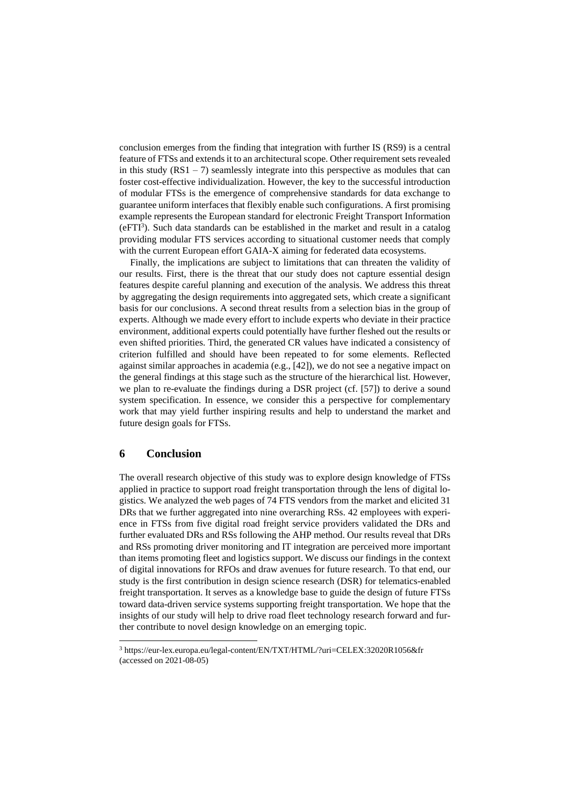conclusion emerges from the finding that integration with further IS (RS9) is a central feature of FTSs and extends it to an architectural scope. Other requirement sets revealed in this study  $(RS1 - 7)$  seamlessly integrate into this perspective as modules that can foster cost-effective individualization. However, the key to the successful introduction of modular FTSs is the emergence of comprehensive standards for data exchange to guarantee uniform interfaces that flexibly enable such configurations. A first promising example represents the European standard for electronic Freight Transport Information  $(eFTI<sup>3</sup>)$ . Such data standards can be established in the market and result in a catalog providing modular FTS services according to situational customer needs that comply with the current European effort GAIA-X aiming for federated data ecosystems.

Finally, the implications are subject to limitations that can threaten the validity of our results. First, there is the threat that our study does not capture essential design features despite careful planning and execution of the analysis. We address this threat by aggregating the design requirements into aggregated sets, which create a significant basis for our conclusions. A second threat results from a selection bias in the group of experts. Although we made every effort to include experts who deviate in their practice environment, additional experts could potentially have further fleshed out the results or even shifted priorities. Third, the generated CR values have indicated a consistency of criterion fulfilled and should have been repeated to for some elements. Reflected against similar approaches in academia (e.g., [42]), we do not see a negative impact on the general findings at this stage such as the structure of the hierarchical list. However, we plan to re-evaluate the findings during a DSR project (cf. [57]) to derive a sound system specification. In essence, we consider this a perspective for complementary work that may yield further inspiring results and help to understand the market and future design goals for FTSs.

### **6 Conclusion**

The overall research objective of this study was to explore design knowledge of FTSs applied in practice to support road freight transportation through the lens of digital logistics. We analyzed the web pages of 74 FTS vendors from the market and elicited 31 DRs that we further aggregated into nine overarching RSs. 42 employees with experience in FTSs from five digital road freight service providers validated the DRs and further evaluated DRs and RSs following the AHP method. Our results reveal that DRs and RSs promoting driver monitoring and IT integration are perceived more important than items promoting fleet and logistics support. We discuss our findings in the context of digital innovations for RFOs and draw avenues for future research. To that end, our study is the first contribution in design science research (DSR) for telematics-enabled freight transportation. It serves as a knowledge base to guide the design of future FTSs toward data-driven service systems supporting freight transportation. We hope that the insights of our study will help to drive road fleet technology research forward and further contribute to novel design knowledge on an emerging topic.

<sup>3</sup> https://eur-lex.europa.eu/legal-content/EN/TXT/HTML/?uri=CELEX:32020R1056&fr (accessed on 2021-08-05)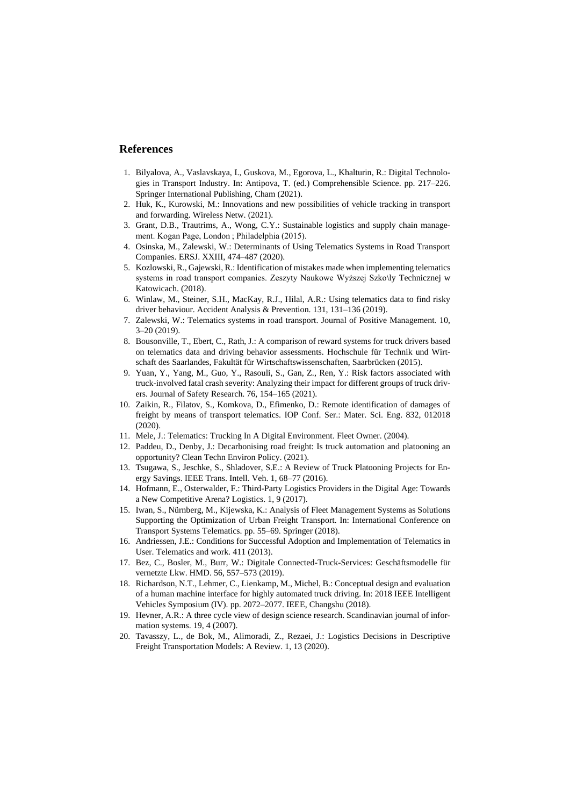## **References**

- 1. Bilyalova, A., Vaslavskaya, I., Guskova, M., Egorova, L., Khalturin, R.: Digital Technologies in Transport Industry. In: Antipova, T. (ed.) Comprehensible Science. pp. 217–226. Springer International Publishing, Cham (2021).
- 2. Huk, K., Kurowski, M.: Innovations and new possibilities of vehicle tracking in transport and forwarding. Wireless Netw. (2021).
- 3. Grant, D.B., Trautrims, A., Wong, C.Y.: Sustainable logistics and supply chain management. Kogan Page, London ; Philadelphia (2015).
- 4. Osinska, M., Zalewski, W.: Determinants of Using Telematics Systems in Road Transport Companies. ERSJ. XXIII, 474–487 (2020).
- 5. Kozlowski, R., Gajewski, R.: Identification of mistakes made when implementing telematics systems in road transport companies. Zeszyty Naukowe Wyższej Szko\ly Technicznej w Katowicach. (2018).
- 6. Winlaw, M., Steiner, S.H., MacKay, R.J., Hilal, A.R.: Using telematics data to find risky driver behaviour. Accident Analysis & Prevention. 131, 131–136 (2019).
- 7. Zalewski, W.: Telematics systems in road transport. Journal of Positive Management. 10, 3–20 (2019).
- 8. Bousonville, T., Ebert, C., Rath, J.: A comparison of reward systems for truck drivers based on telematics data and driving behavior assessments. Hochschule für Technik und Wirtschaft des Saarlandes, Fakultät für Wirtschaftswissenschaften, Saarbrücken (2015).
- 9. Yuan, Y., Yang, M., Guo, Y., Rasouli, S., Gan, Z., Ren, Y.: Risk factors associated with truck-involved fatal crash severity: Analyzing their impact for different groups of truck drivers. Journal of Safety Research. 76, 154–165 (2021).
- 10. Zaikin, R., Filatov, S., Komkova, D., Efimenko, D.: Remote identification of damages of freight by means of transport telematics. IOP Conf. Ser.: Mater. Sci. Eng. 832, 012018 (2020).
- 11. Mele, J.: Telematics: Trucking In A Digital Environment. Fleet Owner. (2004).
- 12. Paddeu, D., Denby, J.: Decarbonising road freight: Is truck automation and platooning an opportunity? Clean Techn Environ Policy. (2021).
- 13. Tsugawa, S., Jeschke, S., Shladover, S.E.: A Review of Truck Platooning Projects for Energy Savings. IEEE Trans. Intell. Veh. 1, 68–77 (2016).
- 14. Hofmann, E., Osterwalder, F.: Third-Party Logistics Providers in the Digital Age: Towards a New Competitive Arena? Logistics. 1, 9 (2017).
- 15. Iwan, S., Nürnberg, M., Kijewska, K.: Analysis of Fleet Management Systems as Solutions Supporting the Optimization of Urban Freight Transport. In: International Conference on Transport Systems Telematics. pp. 55–69. Springer (2018).
- 16. Andriessen, J.E.: Conditions for Successful Adoption and Implementation of Telematics in User. Telematics and work. 411 (2013).
- 17. Bez, C., Bosler, M., Burr, W.: Digitale Connected-Truck-Services: Geschäftsmodelle für vernetzte Lkw. HMD. 56, 557–573 (2019).
- 18. Richardson, N.T., Lehmer, C., Lienkamp, M., Michel, B.: Conceptual design and evaluation of a human machine interface for highly automated truck driving. In: 2018 IEEE Intelligent Vehicles Symposium (IV). pp. 2072–2077. IEEE, Changshu (2018).
- 19. Hevner, A.R.: A three cycle view of design science research. Scandinavian journal of information systems. 19, 4 (2007).
- 20. Tavasszy, L., de Bok, M., Alimoradi, Z., Rezaei, J.: Logistics Decisions in Descriptive Freight Transportation Models: A Review. 1, 13 (2020).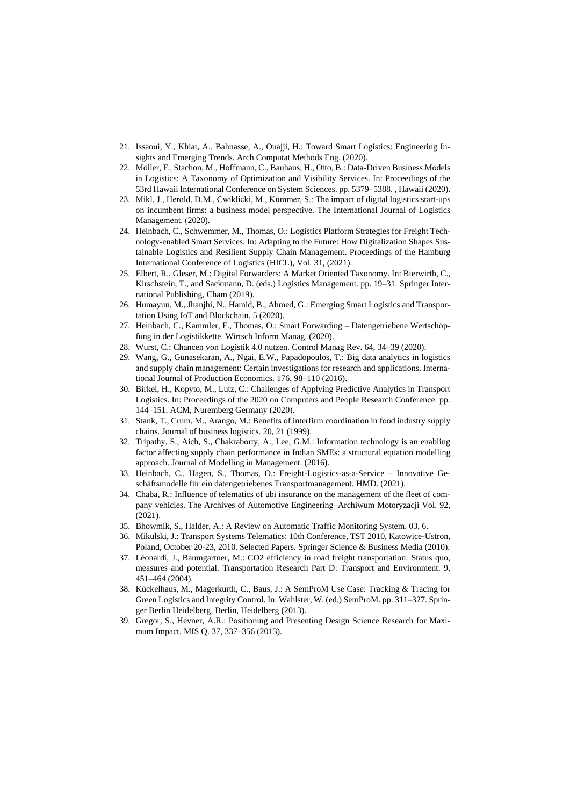- 21. Issaoui, Y., Khiat, A., Bahnasse, A., Ouajji, H.: Toward Smart Logistics: Engineering Insights and Emerging Trends. Arch Computat Methods Eng. (2020).
- 22. Möller, F., Stachon, M., Hoffmann, C., Bauhaus, H., Otto, B.: Data-Driven Business Models in Logistics: A Taxonomy of Optimization and Visibility Services. In: Proceedings of the 53rd Hawaii International Conference on System Sciences. pp. 5379–5388. , Hawaii (2020).
- 23. Mikl, J., Herold, D.M., Ćwiklicki, M., Kummer, S.: The impact of digital logistics start-ups on incumbent firms: a business model perspective. The International Journal of Logistics Management. (2020).
- 24. Heinbach, C., Schwemmer, M., Thomas, O.: Logistics Platform Strategies for Freight Technology-enabled Smart Services. In: Adapting to the Future: How Digitalization Shapes Sustainable Logistics and Resilient Supply Chain Management. Proceedings of the Hamburg International Conference of Logistics (HICL), Vol. 31, (2021).
- 25. Elbert, R., Gleser, M.: Digital Forwarders: A Market Oriented Taxonomy. In: Bierwirth, C., Kirschstein, T., and Sackmann, D. (eds.) Logistics Management. pp. 19–31. Springer International Publishing, Cham (2019).
- 26. Humayun, M., Jhanjhi, N., Hamid, B., Ahmed, G.: Emerging Smart Logistics and Transportation Using IoT and Blockchain. 5 (2020).
- 27. Heinbach, C., Kammler, F., Thomas, O.: Smart Forwarding Datengetriebene Wertschöpfung in der Logistikkette. Wirtsch Inform Manag. (2020).
- 28. Wurst, C.: Chancen von Logistik 4.0 nutzen. Control Manag Rev. 64, 34–39 (2020).
- 29. Wang, G., Gunasekaran, A., Ngai, E.W., Papadopoulos, T.: Big data analytics in logistics and supply chain management: Certain investigations for research and applications. International Journal of Production Economics. 176, 98–110 (2016).
- 30. Birkel, H., Kopyto, M., Lutz, C.: Challenges of Applying Predictive Analytics in Transport Logistics. In: Proceedings of the 2020 on Computers and People Research Conference. pp. 144–151. ACM, Nuremberg Germany (2020).
- 31. Stank, T., Crum, M., Arango, M.: Benefits of interfirm coordination in food industry supply chains. Journal of business logistics. 20, 21 (1999).
- 32. Tripathy, S., Aich, S., Chakraborty, A., Lee, G.M.: Information technology is an enabling factor affecting supply chain performance in Indian SMEs: a structural equation modelling approach. Journal of Modelling in Management. (2016).
- 33. Heinbach, C., Hagen, S., Thomas, O.: Freight-Logistics-as-a-Service Innovative Geschäftsmodelle für ein datengetriebenes Transportmanagement. HMD. (2021).
- 34. Chaba, R.: Influence of telematics of ubi insurance on the management of the fleet of company vehicles. The Archives of Automotive Engineering–Archiwum Motoryzacji Vol. 92, (2021).
- 35. Bhowmik, S., Halder, A.: A Review on Automatic Traffic Monitoring System. 03, 6.
- 36. Mikulski, J.: Transport Systems Telematics: 10th Conference, TST 2010, Katowice-Ustron, Poland, October 20-23, 2010. Selected Papers. Springer Science & Business Media (2010).
- 37. Léonardi, J., Baumgartner, M.: CO2 efficiency in road freight transportation: Status quo, measures and potential. Transportation Research Part D: Transport and Environment. 9, 451–464 (2004).
- 38. Kückelhaus, M., Magerkurth, C., Baus, J.: A SemProM Use Case: Tracking & Tracing for Green Logistics and Integrity Control. In: Wahlster, W. (ed.) SemProM. pp. 311–327. Springer Berlin Heidelberg, Berlin, Heidelberg (2013).
- 39. Gregor, S., Hevner, A.R.: Positioning and Presenting Design Science Research for Maximum Impact. MIS Q. 37, 337–356 (2013).